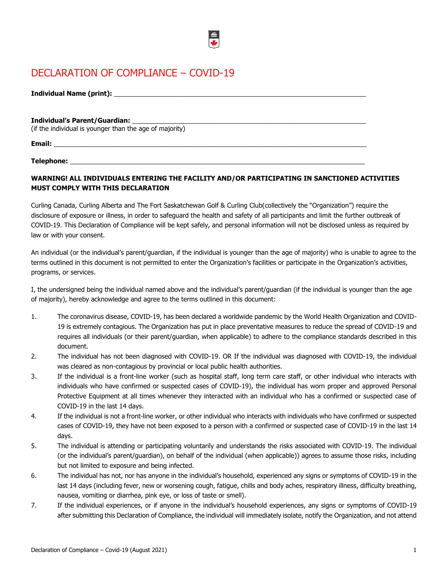# DECLARATION OF COMPLIANCE – COVID-19

| <b>Individual Name (print):</b> |  |
|---------------------------------|--|

### **Individual's Parent/Guardian:** \_\_\_\_\_\_\_\_\_\_\_\_\_\_\_\_\_\_\_\_\_\_\_\_\_\_\_\_\_\_\_\_\_\_\_\_\_\_\_\_\_\_\_\_\_\_\_\_\_\_\_\_\_\_\_\_\_\_\_\_\_\_\_\_\_

(if the individual is younger than the age of majority)

**Email:** \_\_\_\_\_\_\_\_\_\_\_\_\_\_\_\_\_\_\_\_\_\_\_\_\_\_\_\_\_\_\_\_\_\_\_\_\_\_\_\_\_\_\_\_\_\_\_\_\_\_\_\_\_\_\_\_\_\_\_\_\_\_\_\_\_\_\_\_\_\_\_\_\_\_\_\_\_\_\_\_\_\_\_\_\_\_\_

Telephone:

## **WARNING! ALL INDIVIDUALS ENTERING THE FACILITY AND/OR PARTICIPATING IN SANCTIONED ACTIVITIES MUST COMPLY WITH THIS DECLARATION**

Curling Canada, Curling Alberta and The Fort Saskatchewan Golf & Curling Club(collectively the "Organization") require the disclosure of exposure or illness, in order to safeguard the health and safety of all participants and limit the further outbreak of COVID-19. This Declaration of Compliance will be kept safely, and personal information will not be disclosed unless as required by law or with your consent.

An individual (or the individual's parent/guardian, if the individual is younger than the age of majority) who is unable to agree to the terms outlined in this document is not permitted to enter the Organization's facilities or participate in the Organization's activities, programs, or services.

I, the undersigned being the individual named above and the individual's parent/guardian (if the individual is younger than the age of majority), hereby acknowledge and agree to the terms outlined in this document:

- 1. The coronavirus disease, COVID-19, has been declared a worldwide pandemic by the World Health Organization and COVID-19 is extremely contagious. The Organization has put in place preventative measures to reduce the spread of COVID-19 and requires all individuals (or their parent/guardian, when applicable) to adhere to the compliance standards described in this document.
- 2. The individual has not been diagnosed with COVID-19. OR If the individual was diagnosed with COVID-19, the individual was cleared as non-contagious by provincial or local public health authorities.
- 3. If the individual is a front-line worker (such as hospital staff, long term care staff, or other individual who interacts with individuals who have confirmed or suspected cases of COVID-19), the individual has worn proper and approved Personal Protective Equipment at all times whenever they interacted with an individual who has a confirmed or suspected case of COVID-19 in the last 14 days.
- 4. If the individual is not a front-line worker, or other individual who interacts with individuals who have confirmed or suspected cases of COVID-19, they have not been exposed to a person with a confirmed or suspected case of COVID-19 in the last 14 days.
- 5. The individual is attending or participating voluntarily and understands the risks associated with COVID-19. The individual (or the individual's parent/guardian), on behalf of the individual (when applicable)) agrees to assume those risks, including but not limited to exposure and being infected.
- 6. The individual has not, nor has anyone in the individual's household, experienced any signs or symptoms of COVID-19 in the last 14 days (including fever, new or worsening cough, fatigue, chills and body aches, respiratory illness, difficulty breathing, nausea, vomiting or diarrhea, pink eye, or loss of taste or smell).
- 7. If the individual experiences, or if anyone in the individual's household experiences, any signs or symptoms of COVID-19 after submitting this Declaration of Compliance, the individual will immediately isolate, notify the Organization, and not attend